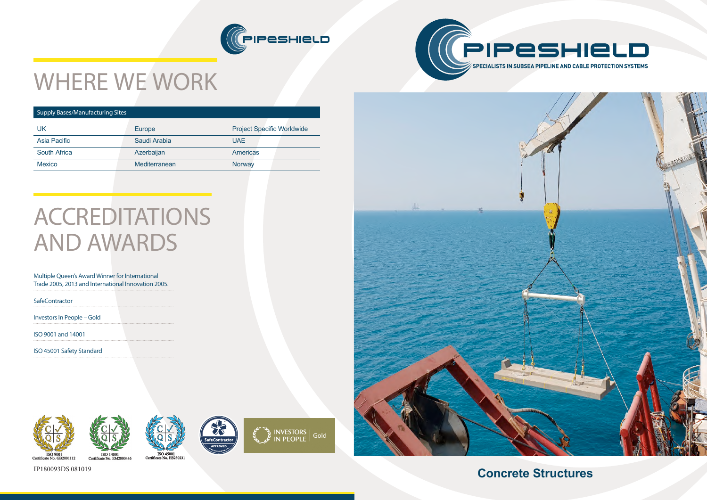**Concrete Structures**









# WHERE WE WORK

### Supply Bases/Manufacturing Sites

| UK                  | Europe        | <b>Project Specific Worldwide</b> |
|---------------------|---------------|-----------------------------------|
| Asia Pacific        | Saudi Arabia  | <b>UAE</b>                        |
| <b>South Africa</b> | Azerbaijan    | <b>Americas</b>                   |
| <b>Mexico</b>       | Mediterranean | Norway                            |
|                     |               |                                   |

## ACCREDITATIONS AND AWARDS

### Multiple Queen's Award Winner for International Trade 2005, 2013 and International Innovation 2005.

**SafeContractor** 

Investors In People – Gold

ISO 9001 and 14001

ISO 45001 Safety Standard





IP180093DS 081019